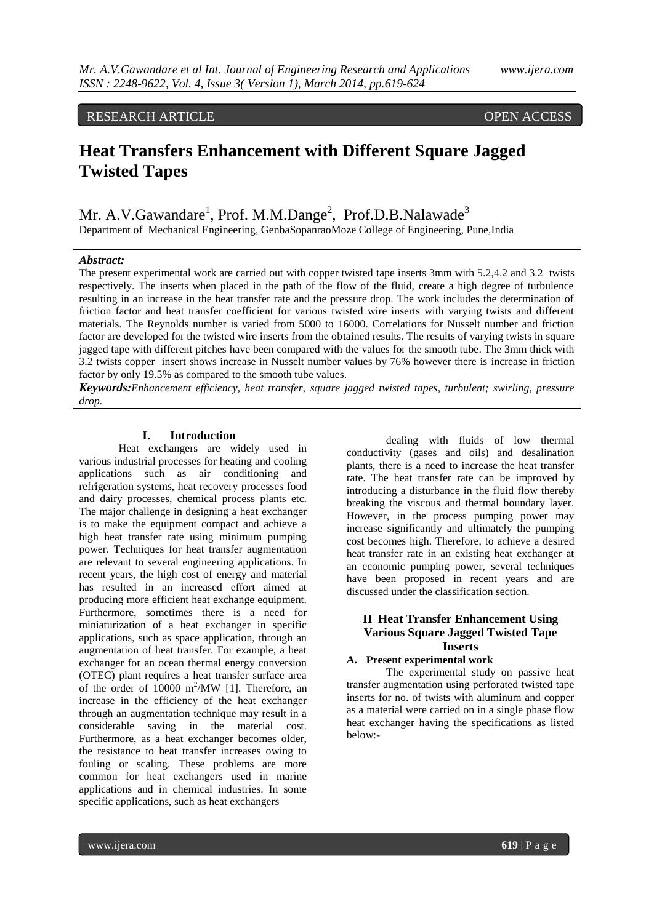RESEARCH ARTICLE OPEN ACCESS

# **Heat Transfers Enhancement with Different Square Jagged Twisted Tapes**

Mr. A.V.Gawandare<sup>1</sup>, Prof. M.M.Dange<sup>2</sup>, Prof.D.B.Nalawade<sup>3</sup> Department of Mechanical Engineering, GenbaSopanraoMoze College of Engineering, Pune,India

#### *Abstract:*

The present experimental work are carried out with copper twisted tape inserts 3mm with 5.2,4.2 and 3.2 twists respectively. The inserts when placed in the path of the flow of the fluid, create a high degree of turbulence resulting in an increase in the heat transfer rate and the pressure drop. The work includes the determination of friction factor and heat transfer coefficient for various twisted wire inserts with varying twists and different materials. The Reynolds number is varied from 5000 to 16000. Correlations for Nusselt number and friction factor are developed for the twisted wire inserts from the obtained results. The results of varying twists in square jagged tape with different pitches have been compared with the values for the smooth tube. The 3mm thick with 3.2 twists copper insert shows increase in Nusselt number values by 76% however there is increase in friction factor by only 19.5% as compared to the smooth tube values.

*Keywords:Enhancement efficiency, heat transfer, square jagged twisted tapes, turbulent; swirling, pressure drop.*

#### **I. Introduction**

Heat exchangers are widely used in various industrial processes for heating and cooling applications such as air conditioning and refrigeration systems, heat recovery processes food and dairy processes, chemical process plants etc. The major challenge in designing a heat exchanger is to make the equipment compact and achieve a high heat transfer rate using minimum pumping power. Techniques for heat transfer augmentation are relevant to several engineering applications. In recent years, the high cost of energy and material has resulted in an increased effort aimed at producing more efficient heat exchange equipment. Furthermore, sometimes there is a need for miniaturization of a heat exchanger in specific applications, such as space application, through an augmentation of heat transfer. For example, a heat exchanger for an ocean thermal energy conversion (OTEC) plant requires a heat transfer surface area of the order of  $10000 \text{ m}^2/\text{MW}$  [1]. Therefore, an increase in the efficiency of the heat exchanger through an augmentation technique may result in a considerable saving in the material cost. Furthermore, as a heat exchanger becomes older, the resistance to heat transfer increases owing to fouling or scaling. These problems are more common for heat exchangers used in marine applications and in chemical industries. In some specific applications, such as heat exchangers

dealing with fluids of low thermal conductivity (gases and oils) and desalination plants, there is a need to increase the heat transfer rate. The heat transfer rate can be improved by introducing a disturbance in the fluid flow thereby breaking the viscous and thermal boundary layer. However, in the process pumping power may increase significantly and ultimately the pumping cost becomes high. Therefore, to achieve a desired heat transfer rate in an existing heat exchanger at an economic pumping power, several techniques have been proposed in recent years and are discussed under the classification section.

# **II Heat Transfer Enhancement Using Various Square Jagged Twisted Tape Inserts**

## **A. Present experimental work**

The experimental study on passive heat transfer augmentation using perforated twisted tape inserts for no. of twists with aluminum and copper as a material were carried on in a single phase flow heat exchanger having the specifications as listed below:-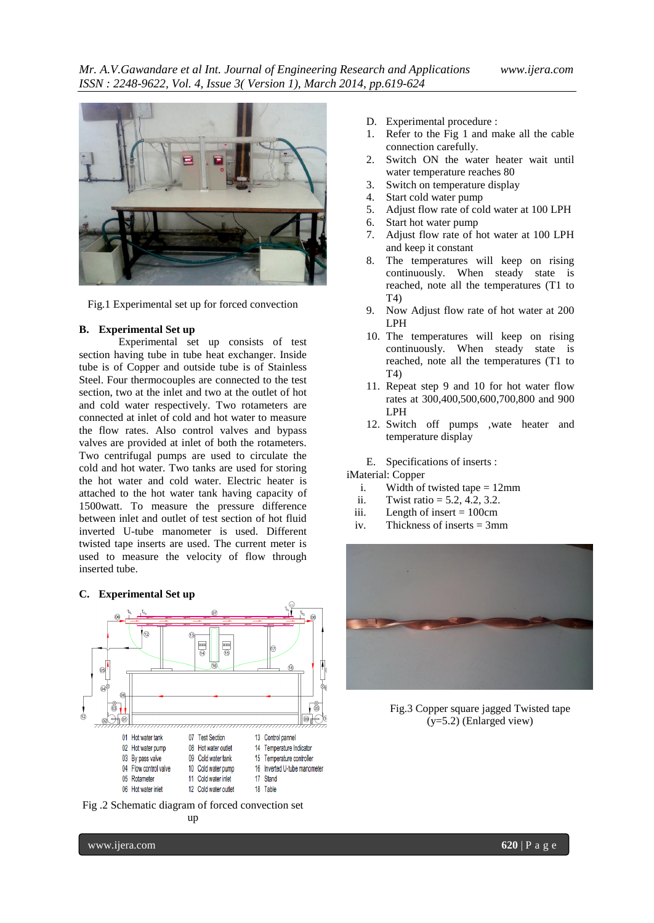

Fig.1 Experimental set up for forced convection

#### **B. Experimental Set up**

Experimental set up consists of test section having tube in tube heat exchanger. Inside tube is of Copper and outside tube is of Stainless Steel. Four thermocouples are connected to the test section, two at the inlet and two at the outlet of hot and cold water respectively. Two rotameters are connected at inlet of cold and hot water to measure the flow rates. Also control valves and bypass valves are provided at inlet of both the rotameters. Two centrifugal pumps are used to circulate the cold and hot water. Two tanks are used for storing the hot water and cold water. Electric heater is attached to the hot water tank having capacity of 1500watt. To measure the pressure difference between inlet and outlet of test section of hot fluid inverted U-tube manometer is used. Different twisted tape inserts are used. The current meter is used to measure the velocity of flow through inserted tube.

#### **C. Experimental Set up**



Fig .2 Schematic diagram of forced convection set up

- D. Experimental procedure :
- 1. Refer to the Fig 1 and make all the cable connection carefully.
- 2. Switch ON the water heater wait until water temperature reaches 80
- 3. Switch on temperature display
- 4. Start cold water pump
- 5. Adjust flow rate of cold water at 100 LPH
- 6. Start hot water pump
- 7. Adjust flow rate of hot water at 100 LPH and keep it constant
- 8. The temperatures will keep on rising continuously. When steady state is reached, note all the temperatures (T1 to T4)
- 9. Now Adjust flow rate of hot water at 200 LPH
- 10. The temperatures will keep on rising continuously. When steady state is reached, note all the temperatures (T1 to T4)
- 11. Repeat step 9 and 10 for hot water flow rates at 300,400,500,600,700,800 and 900 LPH
- 12. Switch off pumps ,wate heater and temperature display
- E. Specifications of inserts :

iMaterial: Copper

- i. Width of twisted tape  $= 12$ mm
- ii. Twist ratio =  $5.2, 4.2, 3.2$ .
- iii. Length of insert  $= 100$ cm
- iv. Thickness of inserts = 3mm



Fig.3 Copper square jagged Twisted tape (y=5.2) (Enlarged view)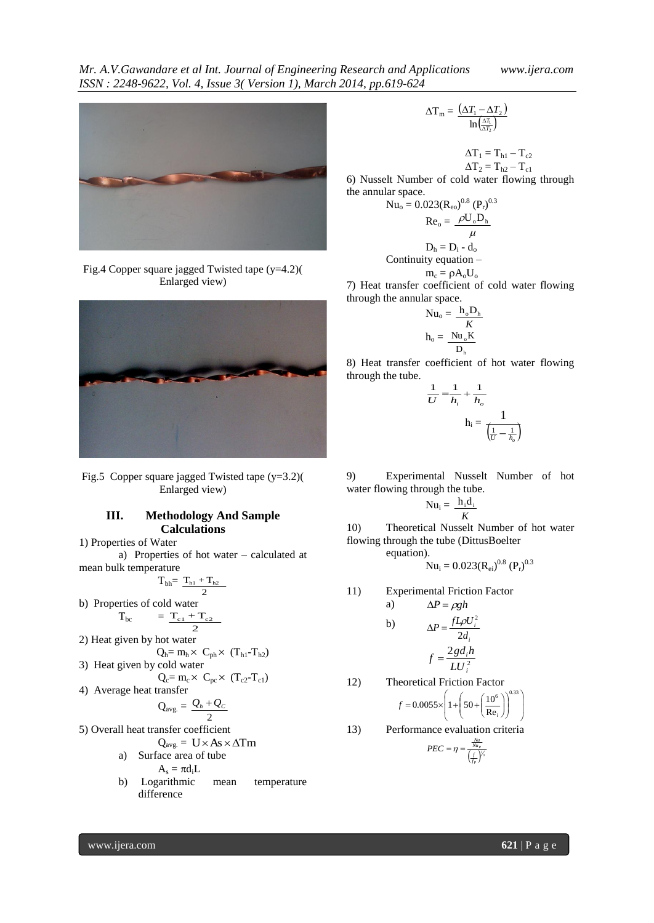

Fig.4 Copper square jagged Twisted tape (y=4.2)( Enlarged view)



Fig.5 Copper square jagged Twisted tape (y=3.2)( Enlarged view)

# **III. Methodology And Sample Calculations**

1) Properties of Water

a) Properties of hot water – calculated at mean bulk temperature

$$
T_{bh}\!\!\!\!=\frac{T_{h1}+T_{h2}}{2}
$$

b) Properties of cold water

$$
T_{bc} = \frac{T_{c1} + T_{c2}}{2}
$$

- 2) Heat given by hot water
- $Q_h = m_h \times C_{ph} \times (T_{h1} T_{h2})$ 3) Heat given by cold water

$$
Q_{c} = m_{c} \times C_{pc} \times (T_{c2} - T_{c1})
$$

4) Average heat transfer

$$
Q_{avg.} = \frac{Q_h + Q_C}{2}
$$

5) Overall heat transfer coefficient

$$
Q_{\text{avg.}} = U \times As \times \Delta Tm
$$

a) Surface area of tube

$$
A_s = \pi d_i L
$$

b) Logarithmic mean temperature difference

$$
\Delta T_{\mathrm{m}} = \frac{\left(\Delta T_{1} - \Delta T_{2}\right)}{\ln\left(\frac{\Delta T_{1}}{\Delta T_{2}}\right)}
$$

$$
\begin{array}{c} \Delta T_1 = T_{h1} - T_{c2} \\ \Delta T_2 = T_{h2} - T_{c1} \end{array}
$$

6) Nusselt Number of cold water flowing through the annular space.

$$
Nu_o = 0.023(R_{eo})^{0.8} (P_r)^{0.3}
$$

$$
Re_o = \frac{\rho U_o D_h}{\mu}
$$

$$
D_h = D_i - d_o
$$

$$
Continuity equation - m_c = \rho A_o U_o
$$

7) Heat transfer coefficient of cold water flowing through the annular space.

$$
Nu_o = \frac{h_o D_h}{K}
$$

$$
h_o = \frac{Nu_o K}{D_h}
$$

8) Heat transfer coefficient of hot water flowing through the tube.

$$
\frac{1}{U} = \frac{1}{h_i} + \frac{1}{h_o}
$$

$$
h_i = \frac{1}{\left(\frac{1}{U} - \frac{1}{h_o}\right)}
$$

9) Experimental Nusselt Number of hot water flowing through the tube.

$$
Nu_i = \frac{h_i d_i}{K}
$$

10) Theoretical Nusselt Number of hot water flowing through the tube (DittusBoelter equation).

$$
Nu_i = 0.023(R_{ei})^{0.8} (P_r)^{0.3}
$$

11) Experimental Friction Factor

a) 
$$
\Delta P = \rho g h
$$
  
\nb) 
$$
\Delta P = \frac{f L \rho U_i^2}{2d_i}
$$

$$
f = \frac{2g d_i h}{L U_i^2}
$$

12) Theoretical Friction Factor

$$
f = 0.0055 \times \left(1 + \left(50 + \left(\frac{10^6}{\text{Re}_i}\right)\right)^{0.33}\right)
$$

13) Performance evaluation criteria

$$
PEC = \eta = \frac{\frac{Nu}{Nu_P}}{\left(\frac{f}{f_P}\right)^{\frac{1}{3}}}
$$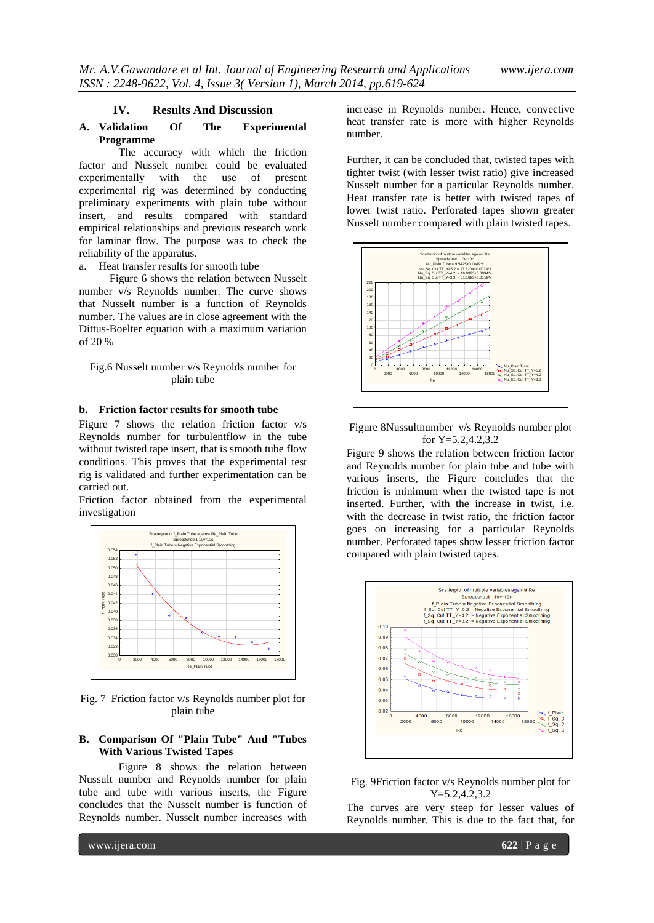#### **IV. Results And Discussion**

## **A. Validation Of The Experimental Programme**

The accuracy with which the friction factor and Nusselt number could be evaluated experimentally with the use of present experimental rig was determined by conducting preliminary experiments with plain tube without insert, and results compared with standard empirical relationships and previous research work for laminar flow. The purpose was to check the reliability of the apparatus.

a. Heat transfer results for smooth tube

Figure 6 shows the relation between Nusselt number v/s Reynolds number. The curve shows that Nusselt number is a function of Reynolds number. The values are in close agreement with the Dittus-Boelter equation with a maximum variation of 20 %

## Fig.6 Nusselt number v/s Reynolds number for plain tube

#### **b. Friction factor results for smooth tube**

Figure 7 shows the relation friction factor v/s Reynolds number for turbulentflow in the tube without twisted tape insert, that is smooth tube flow conditions. This proves that the experimental test rig is validated and further experimentation can be carried out.

Friction factor obtained from the experimental investigation



Fig. 7 Friction factor v/s Reynolds number plot for plain tube

## **B. Comparison Of "Plain Tube" And "Tubes With Various Twisted Tapes**

Figure 8 shows the relation between Nussult number and Reynolds number for plain tube and tube with various inserts, the Figure concludes that the Nusselt number is function of Reynolds number. Nusselt number increases with

increase in Reynolds number. Hence, convective heat transfer rate is more with higher Reynolds number.

Further, it can be concluded that, twisted tapes with tighter twist (with lesser twist ratio) give increased Nusselt number for a particular Reynolds number. Heat transfer rate is better with twisted tapes of lower twist ratio. Perforated tapes shown greater Nusselt number compared with plain twisted tapes.



Figure 8Nussultnumber v/s Reynolds number plot for Y=5.2,4.2,3.2

Figure 9 shows the relation between friction factor and Reynolds number for plain tube and tube with various inserts, the Figure concludes that the friction is minimum when the twisted tape is not inserted. Further, with the increase in twist, i.e. with the decrease in twist ratio, the friction factor goes on increasing for a particular Reynolds number. Perforated tapes show lesser friction factor compared with plain twisted tapes.



Fig. 9Friction factor v/s Reynolds number plot for Y=5.2,4.2,3.2

The curves are very steep for lesser values of Reynolds number. This is due to the fact that, for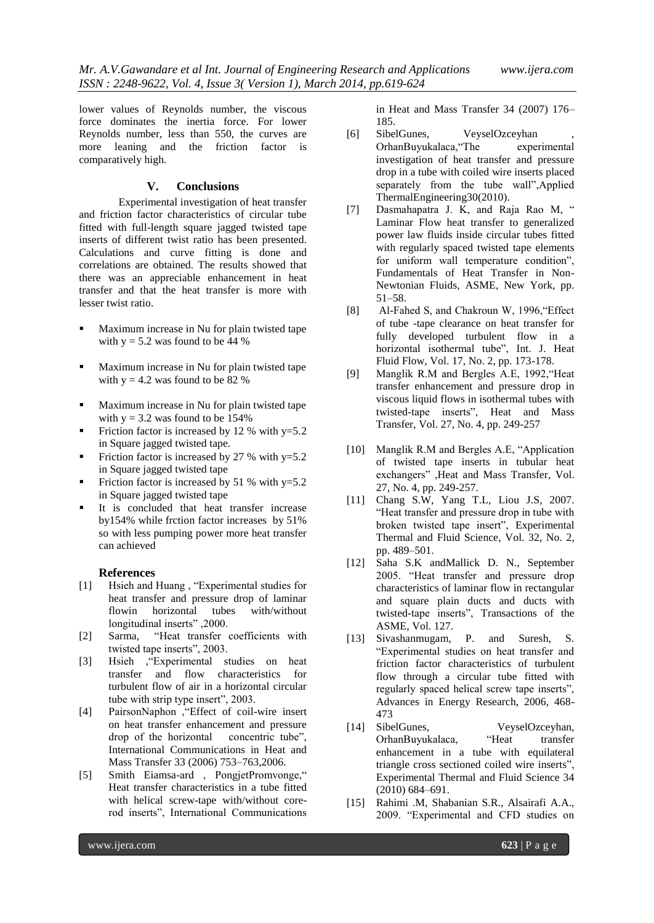lower values of Reynolds number, the viscous force dominates the inertia force. For lower Reynolds number, less than 550, the curves are more leaning and the friction factor is comparatively high.

## **V. Conclusions**

Experimental investigation of heat transfer and friction factor characteristics of circular tube fitted with full-length square jagged twisted tape inserts of different twist ratio has been presented. Calculations and curve fitting is done and correlations are obtained. The results showed that there was an appreciable enhancement in heat transfer and that the heat transfer is more with lesser twist ratio.

- Maximum increase in Nu for plain twisted tape with  $y = 5.2$  was found to be 44 %
- Maximum increase in Nu for plain twisted tape with  $y = 4.2$  was found to be 82 %
- Maximum increase in Nu for plain twisted tape with  $y = 3.2$  was found to be 154%
- Friction factor is increased by 12 % with  $y=5.2$ in Square jagged twisted tape.
- Friction factor is increased by 27 % with  $y=5.2$ in Square jagged twisted tape
- Friction factor is increased by 51 % with  $y=5.2$ in Square jagged twisted tape
- It is concluded that heat transfer increase by154% while frction factor increases by 51% so with less pumping power more heat transfer can achieved

#### **References**

- [1] Hsieh and Huang , "Experimental studies for heat transfer and pressure drop of laminar flowin horizontal tubes with/without longitudinal inserts" ,2000.
- [2] Sarma, "Heat transfer coefficients with twisted tape inserts", 2003.
- [3] Hsieh ,"Experimental studies on heat transfer and flow characteristics for turbulent flow of air in a horizontal circular tube with strip type insert", 2003.
- [4] PairsonNaphon ,"Effect of coil-wire insert on heat transfer enhancement and pressure drop of the horizontal concentric tube", International Communications in Heat and Mass Transfer 33 (2006) 753–763,2006.
- [5] Smith Eiamsa-ard , PongjetPromvonge," Heat transfer characteristics in a tube fitted with helical screw-tape with/without corerod inserts", International Communications

in Heat and Mass Transfer 34 (2007) 176– 185.

- [6] SibelGunes, VeyselOzceyhan OrhanBuyukalaca,"The experimental investigation of heat transfer and pressure drop in a tube with coiled wire inserts placed separately from the tube wall",Applied ThermalEngineering30(2010).
- [7] Dasmahapatra J. K, and Raja Rao M, " Laminar Flow heat transfer to generalized power law fluids inside circular tubes fitted with regularly spaced twisted tape elements for uniform wall temperature condition", Fundamentals of Heat Transfer in Non-Newtonian Fluids, ASME, New York, pp. 51–58.
- [8] Al-Fahed S, and Chakroun W, 1996,"Effect of tube -tape clearance on heat transfer for fully developed turbulent flow in a horizontal isothermal tube", Int. J. Heat Fluid Flow, Vol. 17, No. 2, pp. 173-178.
- [9] Manglik R.M and Bergles A.E, 1992,"Heat transfer enhancement and pressure drop in viscous liquid flows in isothermal tubes with twisted-tape inserts", Heat and Mass Transfer, Vol. 27, No. 4, pp. 249-257
- [10] Manglik R.M and Bergles A.E, "Application of twisted tape inserts in tubular heat exchangers" ,Heat and Mass Transfer, Vol. 27, No. 4, pp. 249-257.
- [11] Chang S.W, Yang T.L, Liou J.S, 2007. "Heat transfer and pressure drop in tube with broken twisted tape insert", Experimental Thermal and Fluid Science, Vol. 32, No. 2, pp. 489–501.
- [12] Saha S.K andMallick D. N., September 2005. "Heat transfer and pressure drop characteristics of laminar flow in rectangular and square plain ducts and ducts with twisted-tape inserts", Transactions of the ASME, Vol. 127.
- [13] Sivashanmugam, P. and Suresh, S. "Experimental studies on heat transfer and friction factor characteristics of turbulent flow through a circular tube fitted with regularly spaced helical screw tape inserts", Advances in Energy Research, 2006, 468- 473
- [14] SibelGunes, VeyselOzceyhan, OrhanBuyukalaca, "Heat transfer enhancement in a tube with equilateral triangle cross sectioned coiled wire inserts", Experimental Thermal and Fluid Science 34 (2010) 684–691.
- [15] Rahimi .M, Shabanian S.R., Alsairafi A.A., 2009. "Experimental and CFD studies on